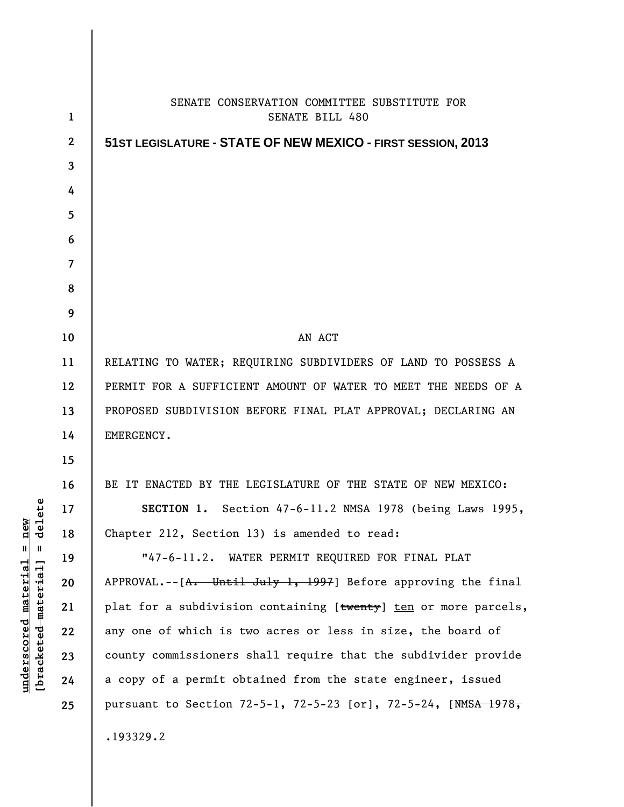| $\mathbf{1}$ | SENATE CONSERVATION COMMITTEE SUBSTITUTE FOR<br><b>SENATE BILL 480</b>  |
|--------------|-------------------------------------------------------------------------|
| $\mathbf{2}$ |                                                                         |
| 3            | 51ST LEGISLATURE - STATE OF NEW MEXICO - FIRST SESSION, 2013            |
| 4            |                                                                         |
| 5            |                                                                         |
| 6            |                                                                         |
| 7            |                                                                         |
| 8            |                                                                         |
| 9            |                                                                         |
| 10           | AN ACT                                                                  |
| 11           | RELATING TO WATER; REQUIRING SUBDIVIDERS OF LAND TO POSSESS A           |
| 12           | PERMIT FOR A SUFFICIENT AMOUNT OF WATER TO MEET THE NEEDS OF A          |
| 13           | PROPOSED SUBDIVISION BEFORE FINAL PLAT APPROVAL; DECLARING AN           |
| 14           | EMERGENCY.                                                              |
| 15           |                                                                         |
| 16           | BE IT ENACTED BY THE LEGISLATURE OF THE STATE OF NEW MEXICO:            |
| 17           | SECTION 1. Section 47-6-11.2 NMSA 1978 (being Laws 1995,                |
| 18           | Chapter 212, Section 13) is amended to read:                            |
| 19           | "47-6-11.2. WATER PERMIT REQUIRED FOR FINAL PLAT                        |
| 20           | $APPROVAL. -- [A. Uniti] Ju1y 1, 1997]$ Before approving the final      |
| 21           | plat for a subdivision containing [twenty] ten or more parcels,         |
| 22           | any one of which is two acres or less in size, the board of             |
| 23           | county commissioners shall require that the subdivider provide          |
| 24           | a copy of a permit obtained from the state engineer, issued             |
| 25           | pursuant to Section 72-5-1, 72-5-23 [ $\sigma$ r], 72-5-24, [NMSA 1978, |
|              | .193329.2                                                               |

**underscored material = new [bracketed material] = delete**

 $[**bracket eted metert et**] = **del et e**$  $underscored material = new$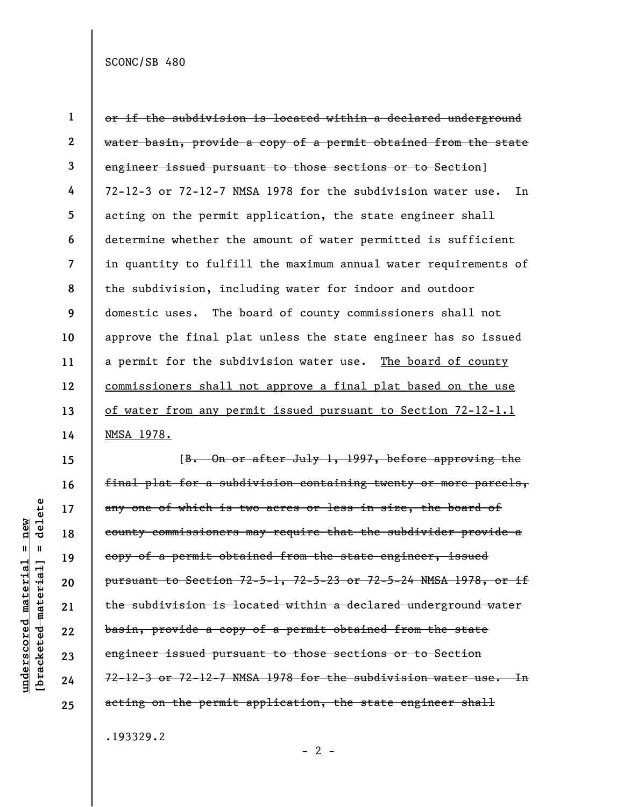SCONC/SB 480

**1 2 3 4 5 6 7 8 9 10 11 12 13 14**  or if the subdivision is located within a declared underground water basin, provide a copy of a permit obtained from the state engineer issued pursuant to those sections or to Section] 72-12-3 or 72-12-7 NMSA 1978 for the subdivision water use. In acting on the permit application, the state engineer shall determine whether the amount of water permitted is sufficient in quantity to fulfill the maximum annual water requirements of the subdivision, including water for indoor and outdoor domestic uses. The board of county commissioners shall not approve the final plat unless the state engineer has so issued a permit for the subdivision water use. The board of county commissioners shall not approve a final plat based on the use of water from any permit issued pursuant to Section 72-12-1.1 NMSA 1978.

delete **[bracketed material] = delete**  $underscored material = new$ **underscored material = new**  $\mathbf{I}$ bracketed material] **15** 

**16** 

**17** 

**18** 

**19** 

**20** 

**21** 

**22** 

**23** 

**24** 

**25** 

[B. On or after July 1, 1997, before approving the final plat for a subdivision containing twenty or more parcels, any one of which is two acres or less in size, the board of county commissioners may require that the subdivider provide a copy of a permit obtained from the state engineer, issued pursuant to Section 72-5-1, 72-5-23 or 72-5-24 NMSA 1978, or if the subdivision is located within a declared underground water basin, provide a copy of a permit obtained from the state engineer issued pursuant to those sections or to Section 72-12-3 or 72-12-7 NMSA 1978 for the subdivision water use. In acting on the permit application, the state engineer shall

.193329.2

 $- 2 -$